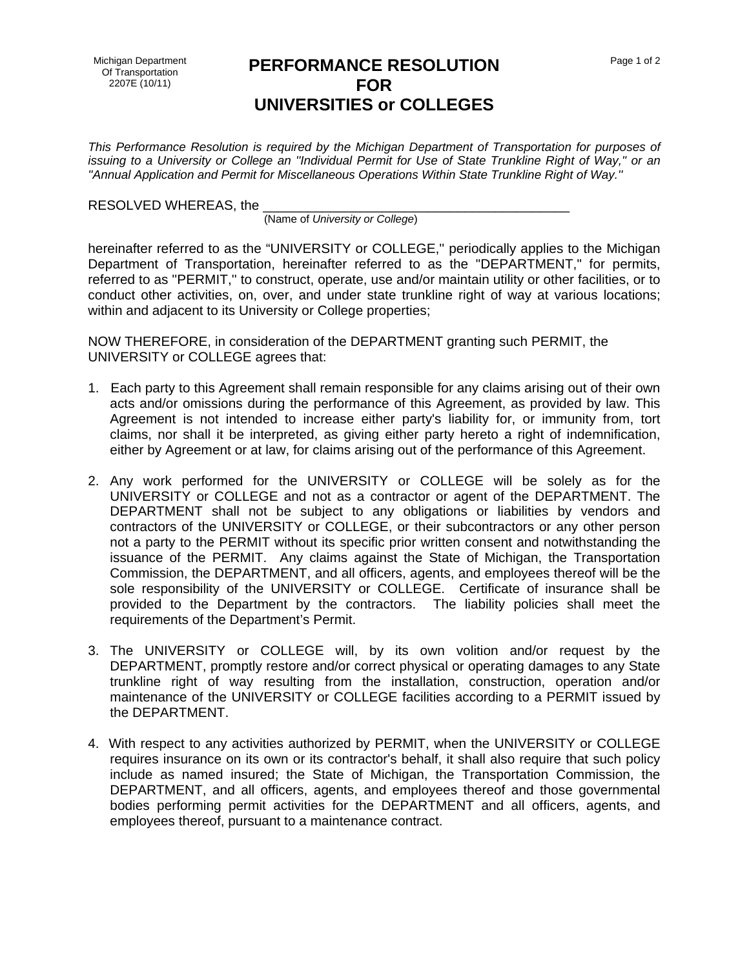## **PERFORMANCE RESOLUTION FOR UNIVERSITIES or COLLEGES**

*This Performance Resolution is required by the Michigan Department of Transportation for purposes of issuing to a University or College an ''Individual Permit for Use of State Trunkline Right of Way,'' or an ''Annual Application and Permit for Miscellaneous Operations Within State Trunkline Right of Way.''* 

RESOLVED WHEREAS, the

(Name of *University or College*)

hereinafter referred to as the "UNIVERSITY or COLLEGE,'' periodically applies to the Michigan Department of Transportation, hereinafter referred to as the "DEPARTMENT," for permits, referred to as ''PERMIT,'' to construct, operate, use and/or maintain utility or other facilities, or to conduct other activities, on, over, and under state trunkline right of way at various locations; within and adjacent to its University or College properties;

NOW THEREFORE, in consideration of the DEPARTMENT granting such PERMIT, the UNIVERSITY or COLLEGE agrees that:

- 1. Each party to this Agreement shall remain responsible for any claims arising out of their own acts and/or omissions during the performance of this Agreement, as provided by law. This Agreement is not intended to increase either party's liability for, or immunity from, tort claims, nor shall it be interpreted, as giving either party hereto a right of indemnification, either by Agreement or at law, for claims arising out of the performance of this Agreement.
- 2. Any work performed for the UNIVERSITY or COLLEGE will be solely as for the UNIVERSITY or COLLEGE and not as a contractor or agent of the DEPARTMENT. The DEPARTMENT shall not be subject to any obligations or liabilities by vendors and contractors of the UNIVERSITY or COLLEGE, or their subcontractors or any other person not a party to the PERMIT without its specific prior written consent and notwithstanding the issuance of the PERMIT. Any claims against the State of Michigan, the Transportation Commission, the DEPARTMENT, and all officers, agents, and employees thereof will be the sole responsibility of the UNIVERSITY or COLLEGE. Certificate of insurance shall be provided to the Department by the contractors. The liability policies shall meet the requirements of the Department's Permit.
- 3. The UNIVERSITY or COLLEGE will, by its own volition and/or request by the DEPARTMENT, promptly restore and/or correct physical or operating damages to any State trunkline right of way resulting from the installation, construction, operation and/or maintenance of the UNIVERSITY or COLLEGE facilities according to a PERMIT issued by the DEPARTMENT.
- 4. With respect to any activities authorized by PERMIT, when the UNIVERSITY or COLLEGE requires insurance on its own or its contractor's behalf, it shall also require that such policy include as named insured; the State of Michigan, the Transportation Commission, the DEPARTMENT, and all officers, agents, and employees thereof and those governmental bodies performing permit activities for the DEPARTMENT and all officers, agents, and employees thereof, pursuant to a maintenance contract.